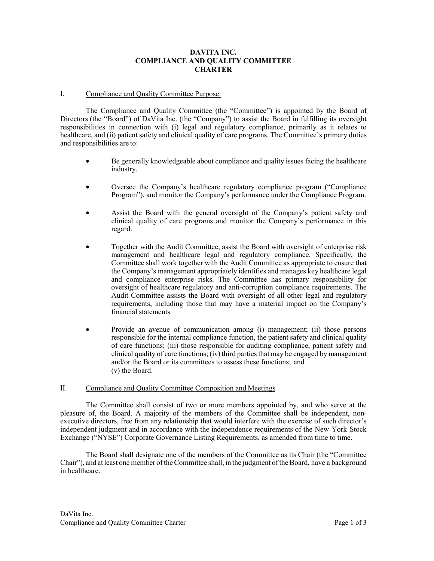# **DAVITA INC. COMPLIANCE AND QUALITY COMMITTEE CHARTER**

## I. Compliance and Quality Committee Purpose:

The Compliance and Quality Committee (the "Committee") is appointed by the Board of Directors (the "Board") of DaVita Inc. (the "Company") to assist the Board in fulfilling its oversight responsibilities in connection with (i) legal and regulatory compliance, primarily as it relates to healthcare, and (ii) patient safety and clinical quality of care programs. The Committee's primary duties and responsibilities are to:

- Be generally knowledgeable about compliance and quality issues facing the healthcare industry.
- Oversee the Company's healthcare regulatory compliance program ("Compliance Program"), and monitor the Company's performance under the Compliance Program.
- Assist the Board with the general oversight of the Company's patient safety and clinical quality of care programs and monitor the Company's performance in this regard.
- Together with the Audit Committee, assist the Board with oversight of enterprise risk management and healthcare legal and regulatory compliance. Specifically, the Committee shall work together with the Audit Committee as appropriate to ensure that the Company's management appropriately identifies and manages key healthcare legal and compliance enterprise risks. The Committee has primary responsibility for oversight of healthcare regulatory and anti-corruption compliance requirements. The Audit Committee assists the Board with oversight of all other legal and regulatory requirements, including those that may have a material impact on the Company's financial statements.
- Provide an avenue of communication among (i) management; (ii) those persons responsible for the internal compliance function, the patient safety and clinical quality of care functions; (iii) those responsible for auditing compliance, patient safety and clinical quality of care functions; (iv) third partiesthat may be engaged by management and/or the Board or its committees to assess these functions; and (v) the Board.

## II. Compliance and Quality Committee Composition and Meetings

The Committee shall consist of two or more members appointed by, and who serve at the pleasure of, the Board. A majority of the members of the Committee shall be independent, nonexecutive directors, free from any relationship that would interfere with the exercise of such director's independent judgment and in accordance with the independence requirements of the New York Stock Exchange ("NYSE") Corporate Governance Listing Requirements, as amended from time to time.

The Board shall designate one of the members of the Committee as its Chair (the "Committee Chair"), and at least one member oftheCommittee shall, in the judgment oftheBoard, have a background in healthcare.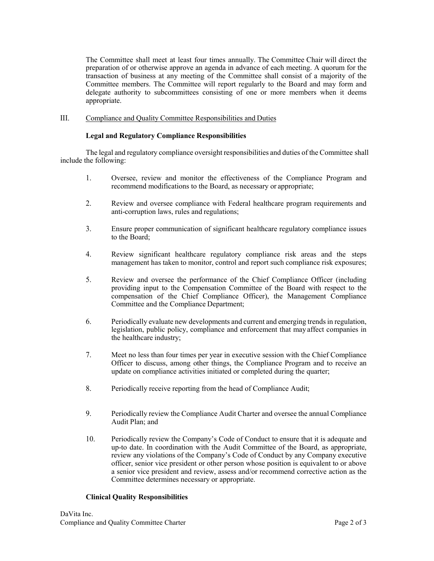The Committee shall meet at least four times annually. The Committee Chair will direct the preparation of or otherwise approve an agenda in advance of each meeting. A quorum for the transaction of business at any meeting of the Committee shall consist of a majority of the Committee members. The Committee will report regularly to the Board and may form and delegate authority to subcommittees consisting of one or more members when it deems appropriate.

## III. Compliance and Quality Committee Responsibilities and Duties

## **Legal and Regulatory Compliance Responsibilities**

The legal and regulatory compliance oversight responsibilities and duties of the Committee shall include the following:

- 1. Oversee, review and monitor the effectiveness of the Compliance Program and recommend modifications to the Board, as necessary or appropriate;
- 2. Review and oversee compliance with Federal healthcare program requirements and anti-corruption laws, rules and regulations;
- 3. Ensure proper communication of significant healthcare regulatory compliance issues to the Board;
- 4. Review significant healthcare regulatory compliance risk areas and the steps management has taken to monitor, control and report such compliance risk exposures;
- 5. Review and oversee the performance of the Chief Compliance Officer (including providing input to the Compensation Committee of the Board with respect to the compensation of the Chief Compliance Officer), the Management Compliance Committee and the Compliance Department;
- 6. Periodically evaluate new developments and current and emerging trends in regulation, legislation, public policy, compliance and enforcement that may affect companies in the healthcare industry;
- 7. Meet no less than four times per year in executive session with the Chief Compliance Officer to discuss, among other things, the Compliance Program and to receive an update on compliance activities initiated or completed during the quarter;
- 8. Periodically receive reporting from the head of Compliance Audit;
- 9. Periodically review the Compliance Audit Charter and oversee the annual Compliance Audit Plan; and
- 10. Periodically review the Company's Code of Conduct to ensure that it is adequate and up-to date. In coordination with the Audit Committee of the Board, as appropriate, review any violations of the Company's Code of Conduct by any Company executive officer, senior vice president or other person whose position is equivalent to or above a senior vice president and review, assess and/or recommend corrective action as the Committee determines necessary or appropriate.

## **Clinical Quality Responsibilities**